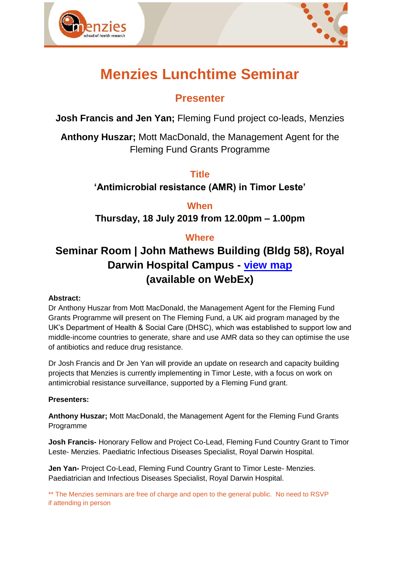



# **Menzies Lunchtime Seminar**

## **Presenter**

**Josh Francis and Jen Yan;** Fleming Fund project co-leads, Menzies

**Anthony Huszar;** Mott MacDonald, the Management Agent for the Fleming Fund Grants Programme

**Title**

**'Antimicrobial resistance (AMR) in Timor Leste'**

**When**

**Thursday, 18 July 2019 from 12.00pm – 1.00pm**

### **Where**

# **Seminar Room | John Mathews Building (Bldg 58), Royal Darwin Hospital Campus - [view map](https://www.menzies.edu.au/icms_docs/190217_Royal_Darwin_Hospital_campus_map.pdf) (available on WebEx)**

### **Abstract:**

Dr Anthony Huszar from Mott MacDonald, the Management Agent for the Fleming Fund Grants Programme will present on The Fleming Fund, a UK aid program managed by the UK's Department of Health & Social Care (DHSC), which was established to support low and middle-income countries to generate, share and use AMR data so they can optimise the use of antibiotics and reduce drug resistance.

Dr Josh Francis and Dr Jen Yan will provide an update on research and capacity building projects that Menzies is currently implementing in Timor Leste, with a focus on work on antimicrobial resistance surveillance, supported by a Fleming Fund grant.

### **Presenters:**

**Anthony Huszar;** Mott MacDonald, the Management Agent for the Fleming Fund Grants Programme

**Josh Francis-** Honorary Fellow and Project Co-Lead, Fleming Fund Country Grant to Timor Leste- Menzies. Paediatric Infectious Diseases Specialist, Royal Darwin Hospital.

**Jen Yan-** Project Co-Lead, Fleming Fund Country Grant to Timor Leste- Menzies. Paediatrician and Infectious Diseases Specialist, Royal Darwin Hospital.

\*\* The Menzies seminars are free of charge and open to the general public. No need to RSVP if attending in person